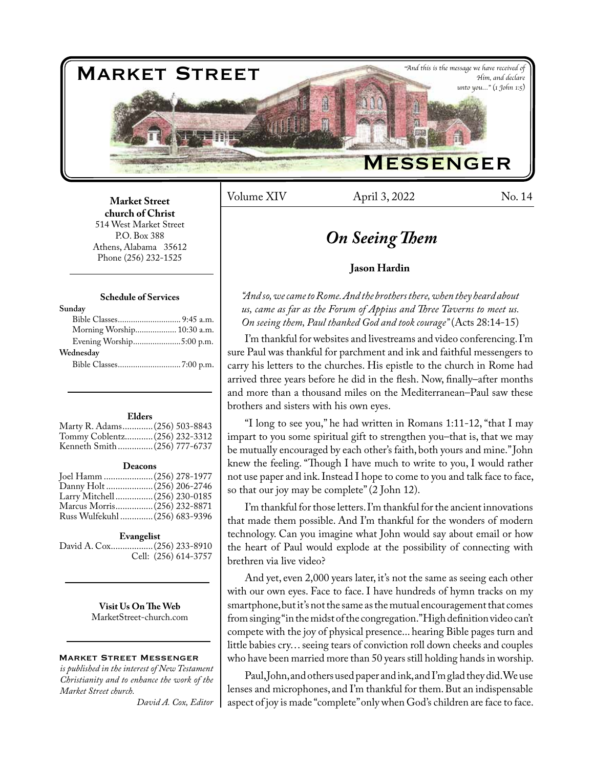

Volume XIV April 3, 2022 No. 14

# **Market Street church of Christ**  514 West Market Street P.O. Box 388 Athens, Alabama 35612 Phone (256) 232-1525

#### **Schedule of Services**

| Sunday                     |  |
|----------------------------|--|
|                            |  |
| Morning Worship 10:30 a.m. |  |
| Evening Worship5:00 p.m.   |  |
| Wednesday                  |  |
|                            |  |
|                            |  |

#### **Elders**

| Marty R. Adams (256) 503-8843 |  |
|-------------------------------|--|
| Tommy Coblentz (256) 232-3312 |  |
| Kenneth Smith(256) 777-6737   |  |
|                               |  |

#### **Deacons**

| Joel Hamm  (256) 278-1977      |  |
|--------------------------------|--|
|                                |  |
| Larry Mitchell (256) 230-0185  |  |
| Marcus Morris(256) 232-8871    |  |
| Russ Wulfekuhl  (256) 683-9396 |  |

#### **Evangelist**

David A. Cox..................(256) 233-8910 Cell: (256) 614-3757

> **Visit Us On The Web** MarketStreet-church.com

#### Market Street Messenger

*is published in the interest of New Testament Christianity and to enhance the work of the Market Street church.*

*David A. Cox, Editor*

# *On Seeing Them*

# **Jason Hardin**

*"And so, we came to Rome. And the brothers there, when they heard about us, came as far as the Forum of Appius and Three Taverns to meet us. On seeing them, Paul thanked God and took courage"* (Acts 28:14-15)

I'm thankful for websites and livestreams and video conferencing. I'm sure Paul was thankful for parchment and ink and faithful messengers to carry his letters to the churches. His epistle to the church in Rome had arrived three years before he did in the flesh. Now, finally–after months and more than a thousand miles on the Mediterranean–Paul saw these brothers and sisters with his own eyes.

"I long to see you," he had written in Romans 1:11-12, "that I may impart to you some spiritual gift to strengthen you–that is, that we may be mutually encouraged by each other's faith, both yours and mine." John knew the feeling. "Though I have much to write to you, I would rather not use paper and ink. Instead I hope to come to you and talk face to face, so that our joy may be complete" (2 John 12).

I'm thankful for those letters. I'm thankful for the ancient innovations that made them possible. And I'm thankful for the wonders of modern technology. Can you imagine what John would say about email or how the heart of Paul would explode at the possibility of connecting with brethren via live video?

And yet, even 2,000 years later, it's not the same as seeing each other with our own eyes. Face to face. I have hundreds of hymn tracks on my smartphone, but it's not the same as the mutual encouragement that comes from singing "in the midst of the congregation." High definition video can't compete with the joy of physical presence... hearing Bible pages turn and little babies cry… seeing tears of conviction roll down cheeks and couples who have been married more than 50 years still holding hands in worship.

Paul, John, and others used paper and ink, and I'm glad they did. We use lenses and microphones, and I'm thankful for them. But an indispensable aspect of joy is made "complete" only when God's children are face to face.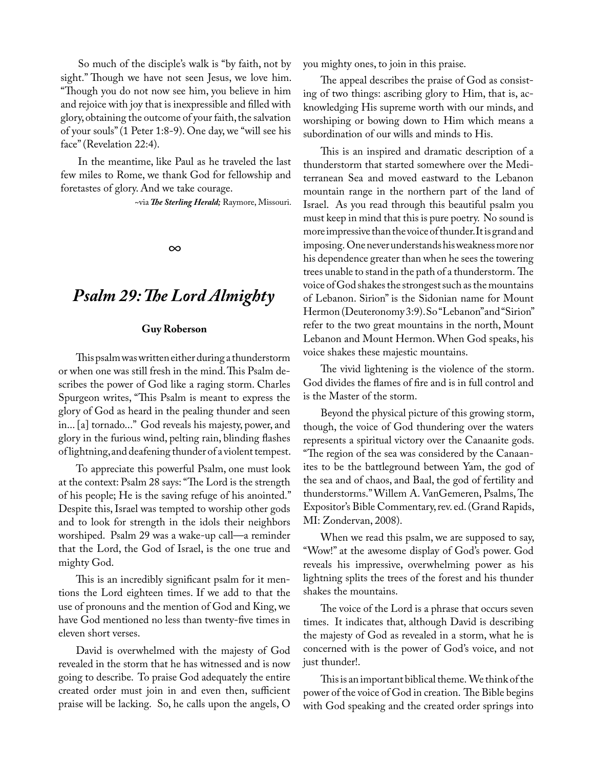So much of the disciple's walk is "by faith, not by sight." Though we have not seen Jesus, we love him. "Though you do not now see him, you believe in him and rejoice with joy that is inexpressible and filled with glory, obtaining the outcome of your faith, the salvation of your souls" (1 Peter 1:8-9). One day, we "will see his face" (Revelation 22:4).

In the meantime, like Paul as he traveled the last few miles to Rome, we thank God for fellowship and foretastes of glory. And we take courage.

~via *The Sterling Herald;* Raymore, Missouri.

*∞*

# *Psalm 29: The Lord Almighty*

# **Guy Roberson**

This psalm was written either during a thunderstorm or when one was still fresh in the mind. This Psalm describes the power of God like a raging storm. Charles Spurgeon writes, "This Psalm is meant to express the glory of God as heard in the pealing thunder and seen in... [a] tornado..." God reveals his majesty, power, and glory in the furious wind, pelting rain, blinding flashes of lightning, and deafening thunder of a violent tempest.

To appreciate this powerful Psalm, one must look at the context: Psalm 28 says: "The Lord is the strength of his people; He is the saving refuge of his anointed." Despite this, Israel was tempted to worship other gods and to look for strength in the idols their neighbors worshiped. Psalm 29 was a wake-up call—a reminder that the Lord, the God of Israel, is the one true and mighty God.

This is an incredibly significant psalm for it mentions the Lord eighteen times. If we add to that the use of pronouns and the mention of God and King, we have God mentioned no less than twenty-five times in eleven short verses.

David is overwhelmed with the majesty of God revealed in the storm that he has witnessed and is now going to describe. To praise God adequately the entire created order must join in and even then, sufficient praise will be lacking. So, he calls upon the angels, O

you mighty ones, to join in this praise.

The appeal describes the praise of God as consisting of two things: ascribing glory to Him, that is, acknowledging His supreme worth with our minds, and worshiping or bowing down to Him which means a subordination of our wills and minds to His.

This is an inspired and dramatic description of a thunderstorm that started somewhere over the Mediterranean Sea and moved eastward to the Lebanon mountain range in the northern part of the land of Israel. As you read through this beautiful psalm you must keep in mind that this is pure poetry. No sound is more impressive than the voice of thunder. It is grand and imposing. One never understands his weakness more nor his dependence greater than when he sees the towering trees unable to stand in the path of a thunderstorm. The voice of God shakes the strongest such as the mountains of Lebanon. Sirion" is the Sidonian name for Mount Hermon (Deuteronomy 3:9). So "Lebanon" and "Sirion" refer to the two great mountains in the north, Mount Lebanon and Mount Hermon. When God speaks, his voice shakes these majestic mountains.

The vivid lightening is the violence of the storm. God divides the flames of fire and is in full control and is the Master of the storm.

Beyond the physical picture of this growing storm, though, the voice of God thundering over the waters represents a spiritual victory over the Canaanite gods. "The region of the sea was considered by the Canaanites to be the battleground between Yam, the god of the sea and of chaos, and Baal, the god of fertility and thunderstorms." Willem A. VanGemeren, Psalms, The Expositor's Bible Commentary, rev. ed. (Grand Rapids, MI: Zondervan, 2008).

When we read this psalm, we are supposed to say, "Wow!" at the awesome display of God's power. God reveals his impressive, overwhelming power as his lightning splits the trees of the forest and his thunder shakes the mountains.

The voice of the Lord is a phrase that occurs seven times. It indicates that, although David is describing the majesty of God as revealed in a storm, what he is concerned with is the power of God's voice, and not just thunder!.

This is an important biblical theme. We think of the power of the voice of God in creation. The Bible begins with God speaking and the created order springs into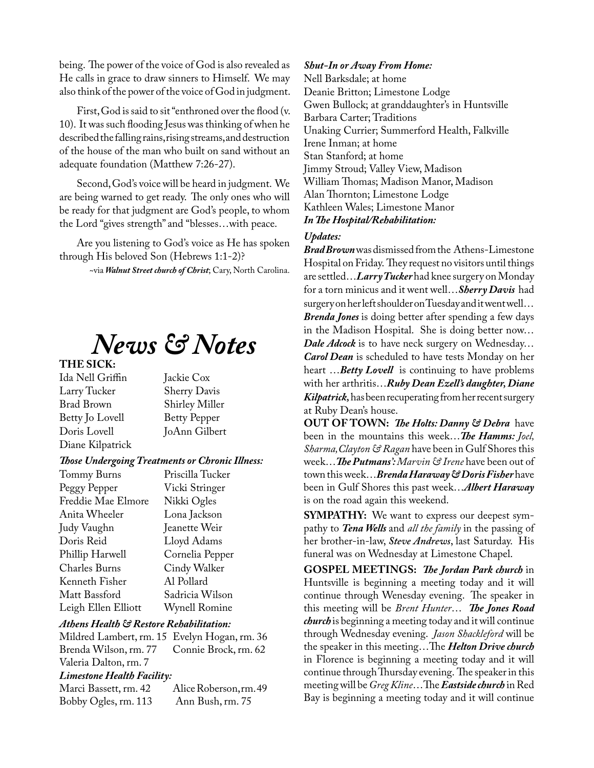being. The power of the voice of God is also revealed as He calls in grace to draw sinners to Himself. We may also think of the power of the voice of God in judgment.

First, God is said to sit "enthroned over the flood (v. 10). It was such flooding Jesus was thinking of when he described the falling rains, rising streams, and destruction of the house of the man who built on sand without an adequate foundation (Matthew 7:26-27).

Second, God's voice will be heard in judgment. We are being warned to get ready. The only ones who will be ready for that judgment are God's people, to whom the Lord "gives strength" and "blesses…with peace.

Are you listening to God's voice as He has spoken through His beloved Son (Hebrews 1:1-2)?

~via *Walnut Street church of Christ*; Cary, North Carolina.

# *News & Notes*

# **THE SICK:**

Ida Nell Griffin Jackie Cox Larry Tucker Brad Brown Shirley Miller Betty Jo Lovell Betty Pepper<br>Doris Lovell JoAnn Gilber Diane Kilpatrick

JoAnn Gilbert

#### *Those Undergoing Treatments or Chronic Illness:*

| Priscilla Tucker |
|------------------|
| Vicki Stringer   |
| Nikki Ogles      |
| Lona Jackson     |
| Jeanette Weir    |
| Lloyd Adams      |
| Cornelia Pepper  |
| Cindy Walker     |
| Al Pollard       |
| Sadricia Wilson  |
| Wynell Romine    |
|                  |

# *Athens Health & Restore Rehabilitation:*

Mildred Lambert, rm. 15 Evelyn Hogan, rm. 36 Connie Brock, rm. 62 Valeria Dalton, rm. 7 *Limestone Health Facility:*

Marci Bassett, rm. 42 Alice Roberson, rm. 49<br>Bobby Ogles, rm. 113 Ann Bush, rm. 75 Bobby Ogles, rm. 113

# *Shut-In or Away From Home:*

Nell Barksdale; at home Deanie Britton; Limestone Lodge Gwen Bullock; at granddaughter's in Huntsville Barbara Carter; Traditions Unaking Currier; Summerford Health, Falkville Irene Inman; at home Stan Stanford; at home Jimmy Stroud; Valley View, Madison William Thomas; Madison Manor, Madison Alan Thornton; Limestone Lodge Kathleen Wales; Limestone Manor *In The Hospital/Rehabilitation:*

# *Updates:*

*Brad Brown* was dismissed from the Athens-Limestone Hospital on Friday. They request no visitors until things are settled…*Larry Tucker* had knee surgery on Monday for a torn minicus and it went well…*Sherry Davis* had surgery on her left shoulder on Tuesday and it went well… *Brenda Jones* is doing better after spending a few days in the Madison Hospital. She is doing better now… *Dale Adcock* is to have neck surgery on Wednesday… *Carol Dean* is scheduled to have tests Monday on her heart …*Betty Lovell* is continuing to have problems with her arthritis…*Ruby Dean Ezell's daughter, Diane Kilpatrick,* has been recuperating from her recent surgery at Ruby Dean's house.

**OUT OF TOWN:** *The Holts: Danny & Debra* have been in the mountains this week…*The Hamms: Joel, Sharma,Clayton & Ragan* have been in Gulf Shores this week…*The Putmans': Marvin & Irene* have been out of town this week…*Brenda Haraway & Doris Fisher* have been in Gulf Shores this past week…*Albert Haraway*  is on the road again this weekend.

**SYMPATHY:** We want to express our deepest sympathy to *Tena Wells* and *all the family* in the passing of her brother-in-law, *Steve Andrews*, last Saturday. His funeral was on Wednesday at Limestone Chapel.

**GOSPEL MEETINGS:** *The Jordan Park church* in Huntsville is beginning a meeting today and it will continue through Wenesday evening. The speaker in this meeting will be *Brent Hunter*… *The Jones Road church* is beginning a meeting today and it will continue through Wednesday evening. *Jason Shackleford* will be the speaker in this meeting…The *Helton Drive church* in Florence is beginning a meeting today and it will continue through Thursday evening. The speaker in this meeting will be *Greg Kline*…The *Eastside church* in Red Bay is beginning a meeting today and it will continue